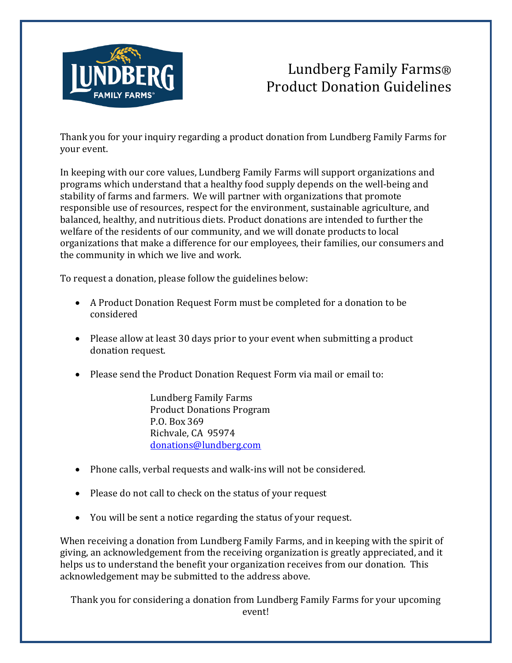

## Lundberg Family Farms® Product Donation Guidelines

Thank you for your inquiry regarding a product donation from Lundberg Family Farms for your event.

In keeping with our core values, Lundberg Family Farms will support organizations and programs which understand that a healthy food supply depends on the well-being and stability of farms and farmers. We will partner with organizations that promote responsible use of resources, respect for the environment, sustainable agriculture, and balanced, healthy, and nutritious diets. Product donations are intended to further the welfare of the residents of our community, and we will donate products to local organizations that make a difference for our employees, their families, our consumers and the community in which we live and work.

To request a donation, please follow the guidelines below:

- A Product Donation Request Form must be completed for a donation to be considered
- Please allow at least 30 days prior to your event when submitting a product donation request.
- Please send the Product Donation Request Form via mail or email to:

Lundberg Family Farms Product Donations Program P.O. Box 369 Richvale, CA 95974 [donations@lundberg.com](mailto:donations@lundberg.com)

- Phone calls, verbal requests and walk-ins will not be considered.
- Please do not call to check on the status of your request
- You will be sent a notice regarding the status of your request.

When receiving a donation from Lundberg Family Farms, and in keeping with the spirit of giving, an acknowledgement from the receiving organization is greatly appreciated, and it helps us to understand the benefit your organization receives from our donation. This acknowledgement may be submitted to the address above.

Thank you for considering a donation from Lundberg Family Farms for your upcoming event!